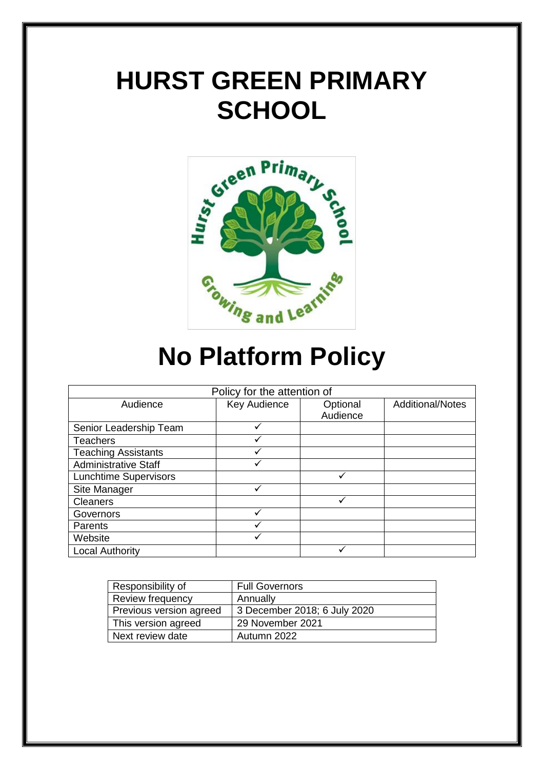# **HURST GREEN PRIMARY SCHOOL**



# **No Platform Policy**

| Policy for the attention of  |              |          |                         |
|------------------------------|--------------|----------|-------------------------|
| Audience                     | Key Audience | Optional | <b>Additional/Notes</b> |
|                              |              | Audience |                         |
| Senior Leadership Team       | ✓            |          |                         |
| <b>Teachers</b>              |              |          |                         |
| <b>Teaching Assistants</b>   |              |          |                         |
| <b>Administrative Staff</b>  |              |          |                         |
| <b>Lunchtime Supervisors</b> |              |          |                         |
| Site Manager                 |              |          |                         |
| <b>Cleaners</b>              |              | ✓        |                         |
| Governors                    |              |          |                         |
| Parents                      | v            |          |                         |
| Website                      |              |          |                         |
| <b>Local Authority</b>       |              |          |                         |

| Responsibility of       | <b>Full Governors</b>        |
|-------------------------|------------------------------|
| Review frequency        | Annually                     |
| Previous version agreed | 3 December 2018; 6 July 2020 |
| This version agreed     | 29 November 2021             |
| Next review date        | Autumn 2022                  |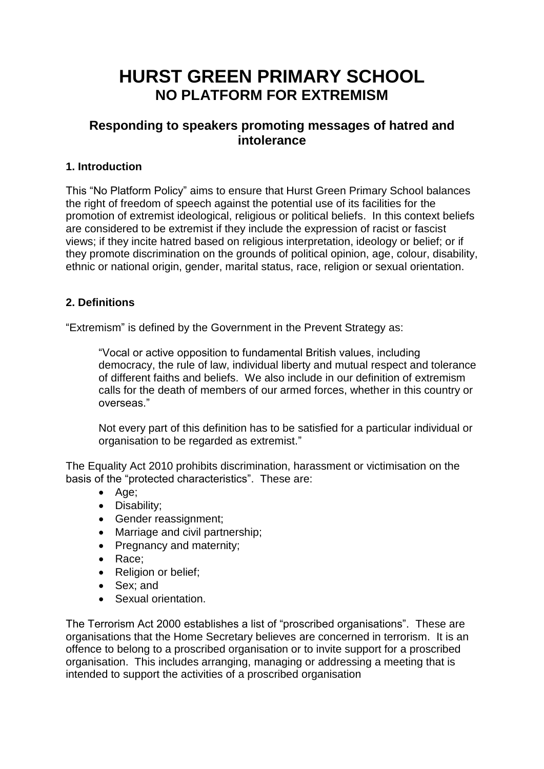# **HURST GREEN PRIMARY SCHOOL NO PLATFORM FOR EXTREMISM**

## **Responding to speakers promoting messages of hatred and intolerance**

### **1. Introduction**

This "No Platform Policy" aims to ensure that Hurst Green Primary School balances the right of freedom of speech against the potential use of its facilities for the promotion of extremist ideological, religious or political beliefs. In this context beliefs are considered to be extremist if they include the expression of racist or fascist views; if they incite hatred based on religious interpretation, ideology or belief; or if they promote discrimination on the grounds of political opinion, age, colour, disability, ethnic or national origin, gender, marital status, race, religion or sexual orientation.

### **2. Definitions**

"Extremism" is defined by the Government in the Prevent Strategy as:

"Vocal or active opposition to fundamental British values, including democracy, the rule of law, individual liberty and mutual respect and tolerance of different faiths and beliefs. We also include in our definition of extremism calls for the death of members of our armed forces, whether in this country or overseas."

Not every part of this definition has to be satisfied for a particular individual or organisation to be regarded as extremist."

The Equality Act 2010 prohibits discrimination, harassment or victimisation on the basis of the "protected characteristics". These are:

- Age:
- Disability;
- Gender reassignment;
- Marriage and civil partnership;
- Pregnancy and maternity;
- Race:
- Religion or belief;
- Sex: and
- Sexual orientation.

The Terrorism Act 2000 establishes a list of "proscribed organisations". These are organisations that the Home Secretary believes are concerned in terrorism. It is an offence to belong to a proscribed organisation or to invite support for a proscribed organisation. This includes arranging, managing or addressing a meeting that is intended to support the activities of a proscribed organisation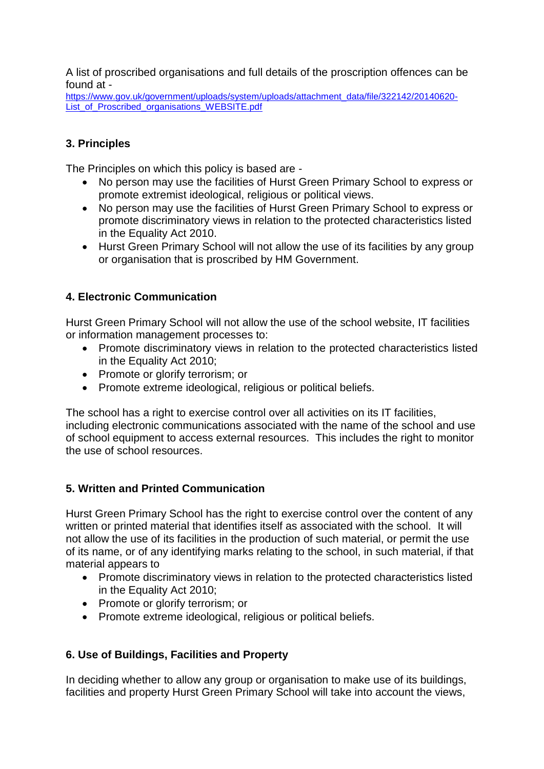A list of proscribed organisations and full details of the proscription offences can be found at -

[https://www.gov.uk/government/uploads/system/uploads/attachment\\_data/file/322142/20140620-](https://www.gov.uk/government/uploads/system/uploads/attachment_data/file/322142/20140620-List_of_Proscribed_organisations_WEBSITE.pdf) [List\\_of\\_Proscribed\\_organisations\\_WEBSITE.pdf](https://www.gov.uk/government/uploads/system/uploads/attachment_data/file/322142/20140620-List_of_Proscribed_organisations_WEBSITE.pdf)

#### **3. Principles**

The Principles on which this policy is based are -

- No person may use the facilities of Hurst Green Primary School to express or promote extremist ideological, religious or political views.
- No person may use the facilities of Hurst Green Primary School to express or promote discriminatory views in relation to the protected characteristics listed in the Equality Act 2010.
- Hurst Green Primary School will not allow the use of its facilities by any group or organisation that is proscribed by HM Government.

#### **4. Electronic Communication**

Hurst Green Primary School will not allow the use of the school website, IT facilities or information management processes to:

- Promote discriminatory views in relation to the protected characteristics listed in the Equality Act 2010;
- Promote or glorify terrorism; or
- Promote extreme ideological, religious or political beliefs.

The school has a right to exercise control over all activities on its IT facilities, including electronic communications associated with the name of the school and use of school equipment to access external resources. This includes the right to monitor the use of school resources.

#### **5. Written and Printed Communication**

Hurst Green Primary School has the right to exercise control over the content of any written or printed material that identifies itself as associated with the school. It will not allow the use of its facilities in the production of such material, or permit the use of its name, or of any identifying marks relating to the school, in such material, if that material appears to

- Promote discriminatory views in relation to the protected characteristics listed in the Equality Act 2010;
- Promote or glorify terrorism; or
- Promote extreme ideological, religious or political beliefs.

#### **6. Use of Buildings, Facilities and Property**

In deciding whether to allow any group or organisation to make use of its buildings, facilities and property Hurst Green Primary School will take into account the views,